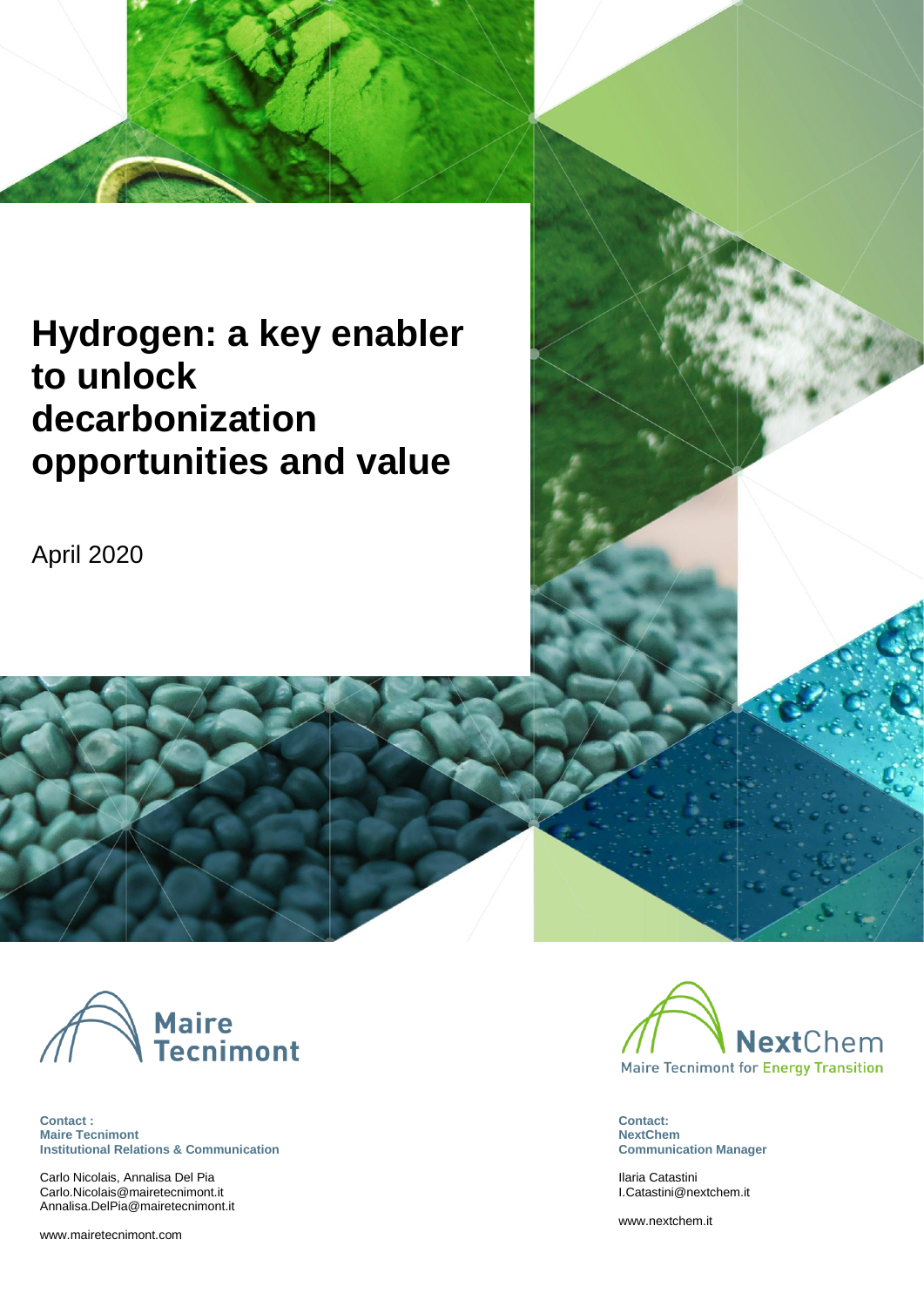# **Hydrogen: a key enabler to unlock decarbonization opportunities and value**

April 2020



**Contact : Maire Tecnimont Institutional Relations & Communication**

Carlo Nicolais, Annalisa Del Pia [Carlo.Nicolais@mairetecnimont.it](mailto:Carlo.Nicolais@mairetecnimont.it) [Annalisa.DelPia@mairetecnimont.it](mailto:Annalisa.DelPia@mairetecnimont.it)

[www.mairetecnimont.com](http://www.mairetecnimont.com/)



**Contact: NextChem Communication Manager**

Ilaria Catastini [I.Catastini@nextchem.it](mailto:I.Catastini@nextchem.it)

[www.nextchem.it](http://www.nextchem.it/)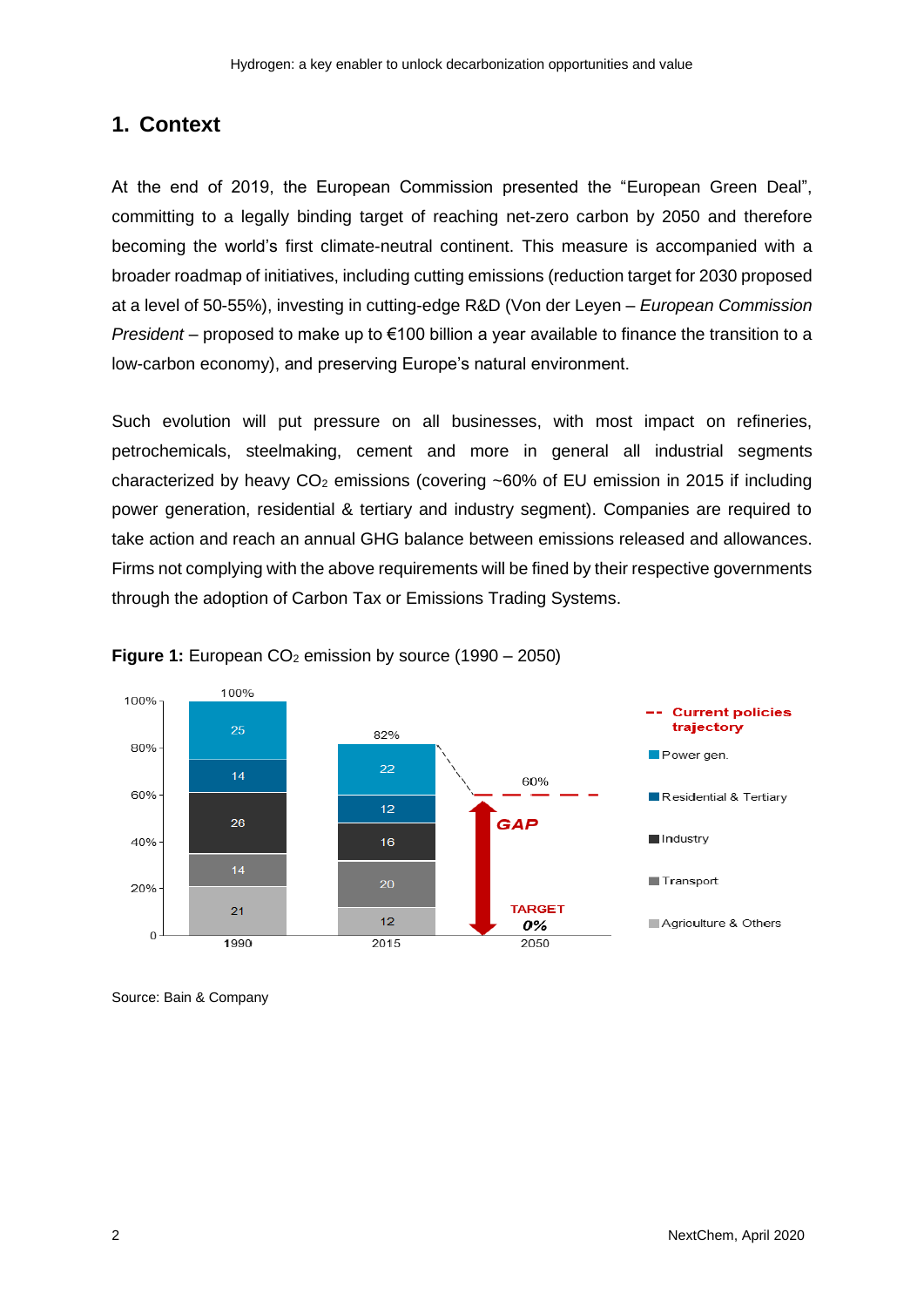#### **1. Context**

At the end of 2019, the European Commission presented the "European Green Deal", committing to a legally binding target of reaching net-zero carbon by 2050 and therefore becoming the world's first climate-neutral continent. This measure is accompanied with a broader roadmap of initiatives, including cutting emissions (reduction target for 2030 proposed at a level of 50-55%), investing in cutting-edge R&D (Von der Leyen – *European Commission President* – proposed to make up to €100 billion a year available to finance the transition to a low-carbon economy), and preserving Europe's natural environment.

Such evolution will put pressure on all businesses, with most impact on refineries, petrochemicals, steelmaking, cement and more in general all industrial segments characterized by heavy  $CO<sub>2</sub>$  emissions (covering ~60% of EU emission in 2015 if including power generation, residential & tertiary and industry segment). Companies are required to take action and reach an annual GHG balance between emissions released and allowances. Firms not complying with the above requirements will be fined by their respective governments through the adoption of Carbon Tax or Emissions Trading Systems.





Source: Bain & Company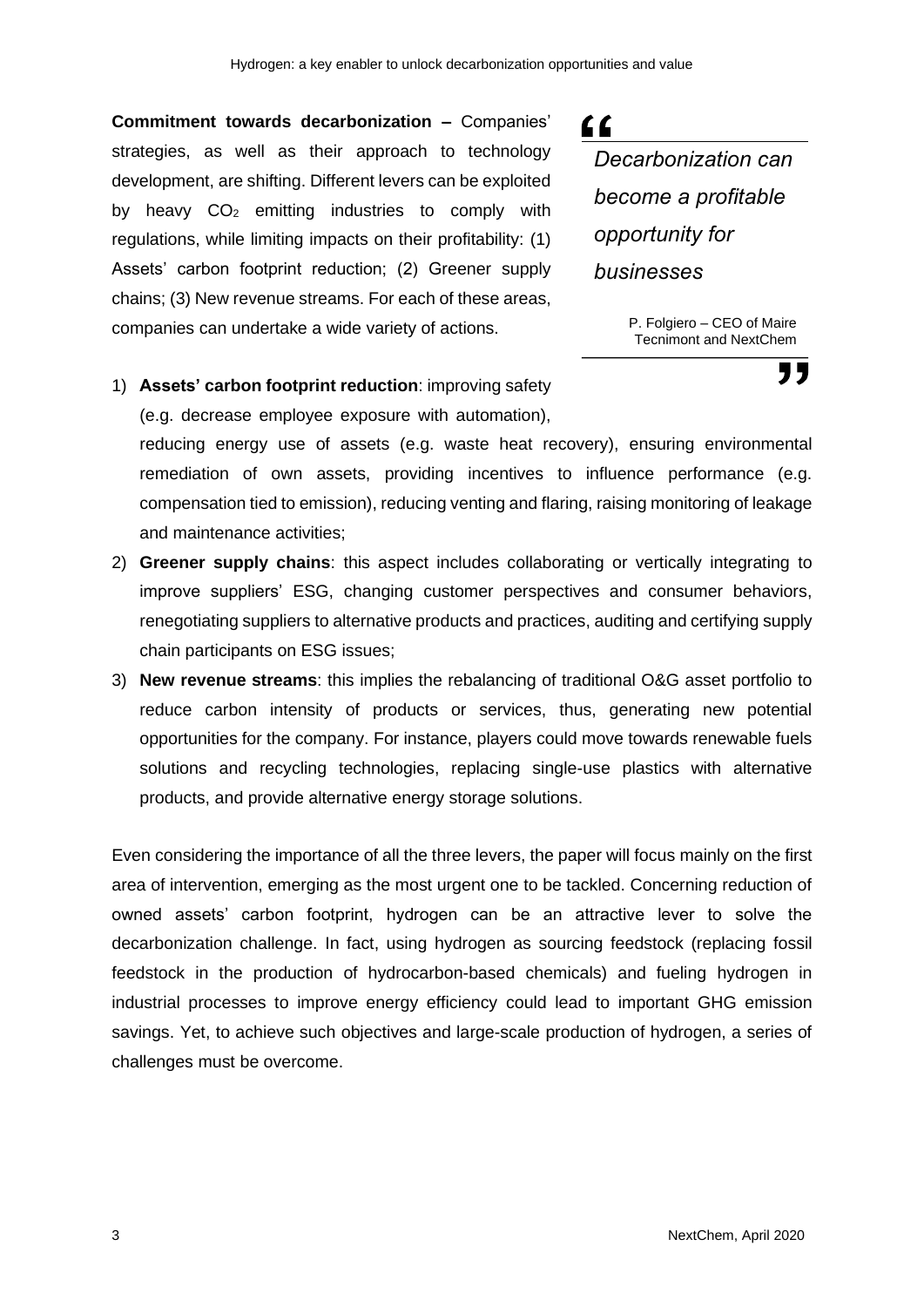**Commitment towards decarbonization –** Companies' strategies, as well as their approach to technology development, are shifting. Different levers can be exploited by heavy  $CO<sub>2</sub>$  emitting industries to comply with regulations, while limiting impacts on their profitability: (1) Assets' carbon footprint reduction; (2) Greener supply chains; (3) New revenue streams. For each of these areas, companies can undertake a wide variety of actions.

# $66$

*Decarbonization can become a profitable opportunity for businesses*

> P. Folgiero – CEO of Maire Tecnimont and NextChem

> > 77

1) **Assets' carbon footprint reduction**: improving safety (e.g. decrease employee exposure with automation),

reducing energy use of assets (e.g. waste heat recovery), ensuring environmental remediation of own assets, providing incentives to influence performance (e.g. compensation tied to emission), reducing venting and flaring, raising monitoring of leakage and maintenance activities;

- 2) **Greener supply chains**: this aspect includes collaborating or vertically integrating to improve suppliers' ESG, changing customer perspectives and consumer behaviors, renegotiating suppliers to alternative products and practices, auditing and certifying supply chain participants on ESG issues;
- 3) **New revenue streams**: this implies the rebalancing of traditional O&G asset portfolio to reduce carbon intensity of products or services, thus, generating new potential opportunities for the company. For instance, players could move towards renewable fuels solutions and recycling technologies, replacing single-use plastics with alternative products, and provide alternative energy storage solutions.

Even considering the importance of all the three levers, the paper will focus mainly on the first area of intervention, emerging as the most urgent one to be tackled. Concerning reduction of owned assets' carbon footprint, hydrogen can be an attractive lever to solve the decarbonization challenge. In fact, using hydrogen as sourcing feedstock (replacing fossil feedstock in the production of hydrocarbon-based chemicals) and fueling hydrogen in industrial processes to improve energy efficiency could lead to important GHG emission savings. Yet, to achieve such objectives and large-scale production of hydrogen, a series of challenges must be overcome.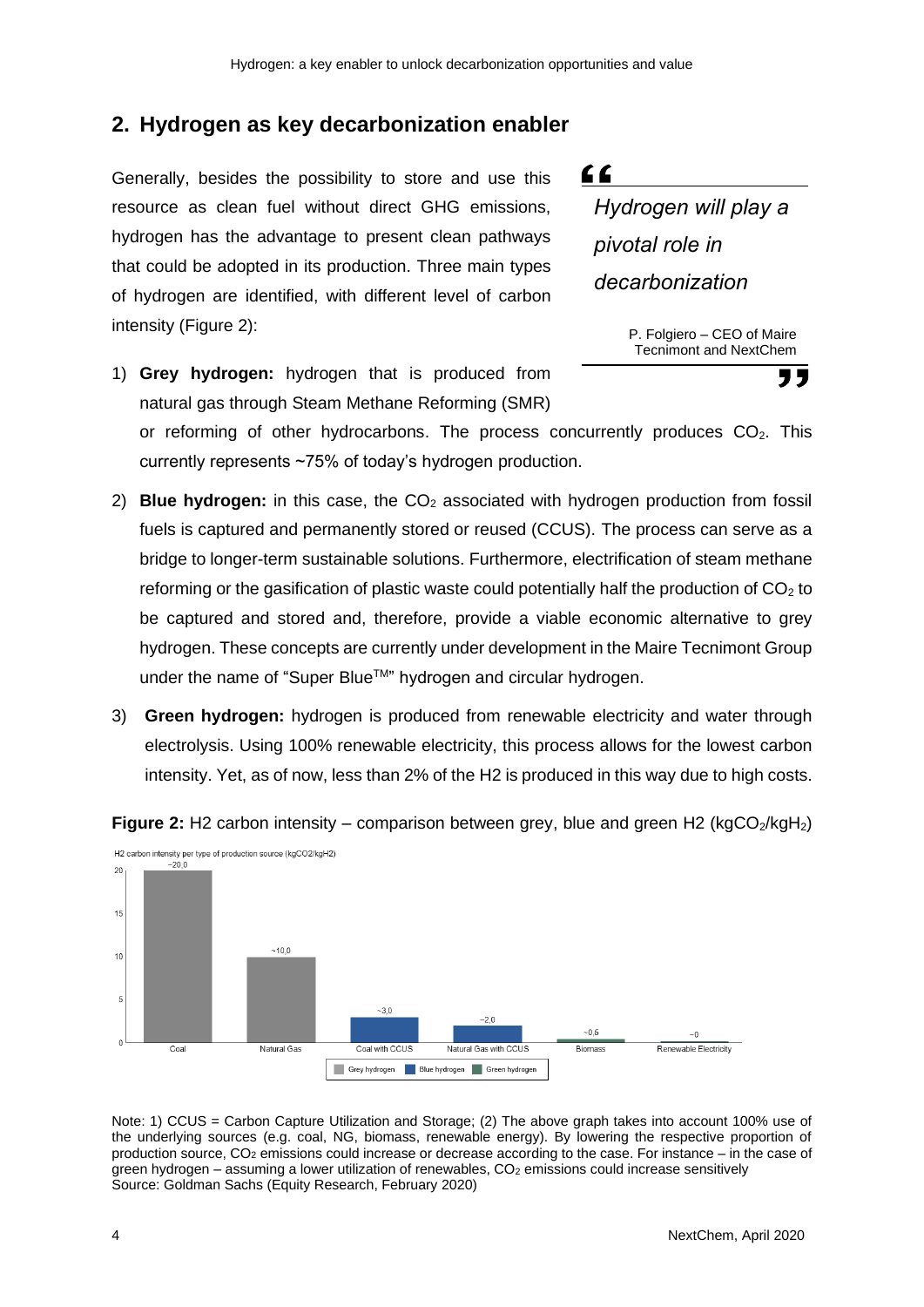#### **2. Hydrogen as key decarbonization enabler**

Generally, besides the possibility to store and use this resource as clean fuel without direct GHG emissions, hydrogen has the advantage to present clean pathways that could be adopted in its production. Three main types of hydrogen are identified, with different level of carbon intensity (Figure 2):

1) **Grey hydrogen:** hydrogen that is produced from natural gas through Steam Methane Reforming (SMR)



P. Folgiero – CEO of Maire Tecnimont and NextChem

"

or reforming of other hydrocarbons. The process concurrently produces  $CO<sub>2</sub>$ . This currently represents ~75% of today's hydrogen production.

- 2) **Blue hydrogen:** in this case, the CO<sub>2</sub> associated with hydrogen production from fossil fuels is captured and permanently stored or reused (CCUS). The process can serve as a bridge to longer-term sustainable solutions. Furthermore, electrification of steam methane reforming or the gasification of plastic waste could potentially half the production of  $CO<sub>2</sub>$  to be captured and stored and, therefore, provide a viable economic alternative to grey hydrogen. These concepts are currently under development in the Maire Tecnimont Group under the name of "Super Blue™" hydrogen and circular hydrogen.
- 3) **Green hydrogen:** hydrogen is produced from renewable electricity and water through electrolysis. Using 100% renewable electricity, this process allows for the lowest carbon intensity. Yet, as of now, less than 2% of the H2 is produced in this way due to high costs.



**Figure 2:** H2 carbon intensity – comparison between grey, blue and green H2 (kgCO<sub>2</sub>/kgH<sub>2</sub>)

Note: 1) CCUS = Carbon Capture Utilization and Storage; (2) The above graph takes into account 100% use of the underlying sources (e.g. coal, NG, biomass, renewable energy). By lowering the respective proportion of production source, CO<sup>2</sup> emissions could increase or decrease according to the case. For instance – in the case of green hydrogen – assuming a lower utilization of renewables, CO<sub>2</sub> emissions could increase sensitively Source: Goldman Sachs (Equity Research, February 2020)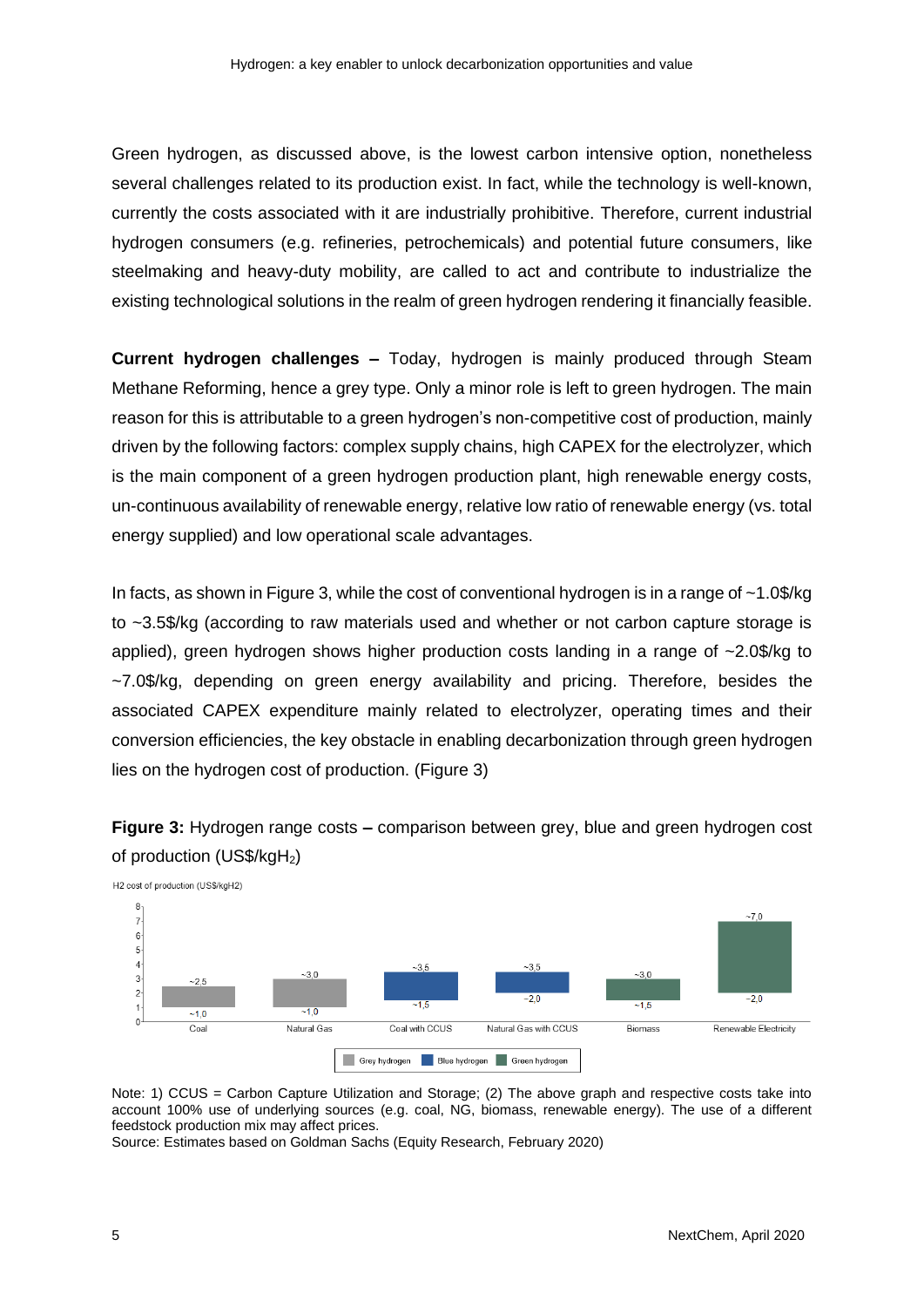Green hydrogen, as discussed above, is the lowest carbon intensive option, nonetheless several challenges related to its production exist. In fact, while the technology is well-known, currently the costs associated with it are industrially prohibitive. Therefore, current industrial hydrogen consumers (e.g. refineries, petrochemicals) and potential future consumers, like steelmaking and heavy-duty mobility, are called to act and contribute to industrialize the existing technological solutions in the realm of green hydrogen rendering it financially feasible.

**Current hydrogen challenges –** Today, hydrogen is mainly produced through Steam Methane Reforming, hence a grey type. Only a minor role is left to green hydrogen. The main reason for this is attributable to a green hydrogen's non-competitive cost of production, mainly driven by the following factors: complex supply chains, high CAPEX for the electrolyzer, which is the main component of a green hydrogen production plant, high renewable energy costs, un-continuous availability of renewable energy, relative low ratio of renewable energy (vs. total energy supplied) and low operational scale advantages.

In facts, as shown in Figure 3, while the cost of conventional hydrogen is in a range of ~1.0\$/kg to ~3.5\$/kg (according to raw materials used and whether or not carbon capture storage is applied), green hydrogen shows higher production costs landing in a range of  $\sim$ 2.0\$/kg to ~7.0\$/kg, depending on green energy availability and pricing. Therefore, besides the associated CAPEX expenditure mainly related to electrolyzer, operating times and their conversion efficiencies, the key obstacle in enabling decarbonization through green hydrogen lies on the hydrogen cost of production. (Figure 3)

**Figure 3:** Hydrogen range costs **–** comparison between grey, blue and green hydrogen cost of production (US\$/kgH2)



Note: 1) CCUS = Carbon Capture Utilization and Storage; (2) The above graph and respective costs take into account 100% use of underlying sources (e.g. coal, NG, biomass, renewable energy). The use of a different feedstock production mix may affect prices.

Source: Estimates based on Goldman Sachs (Equity Research, February 2020)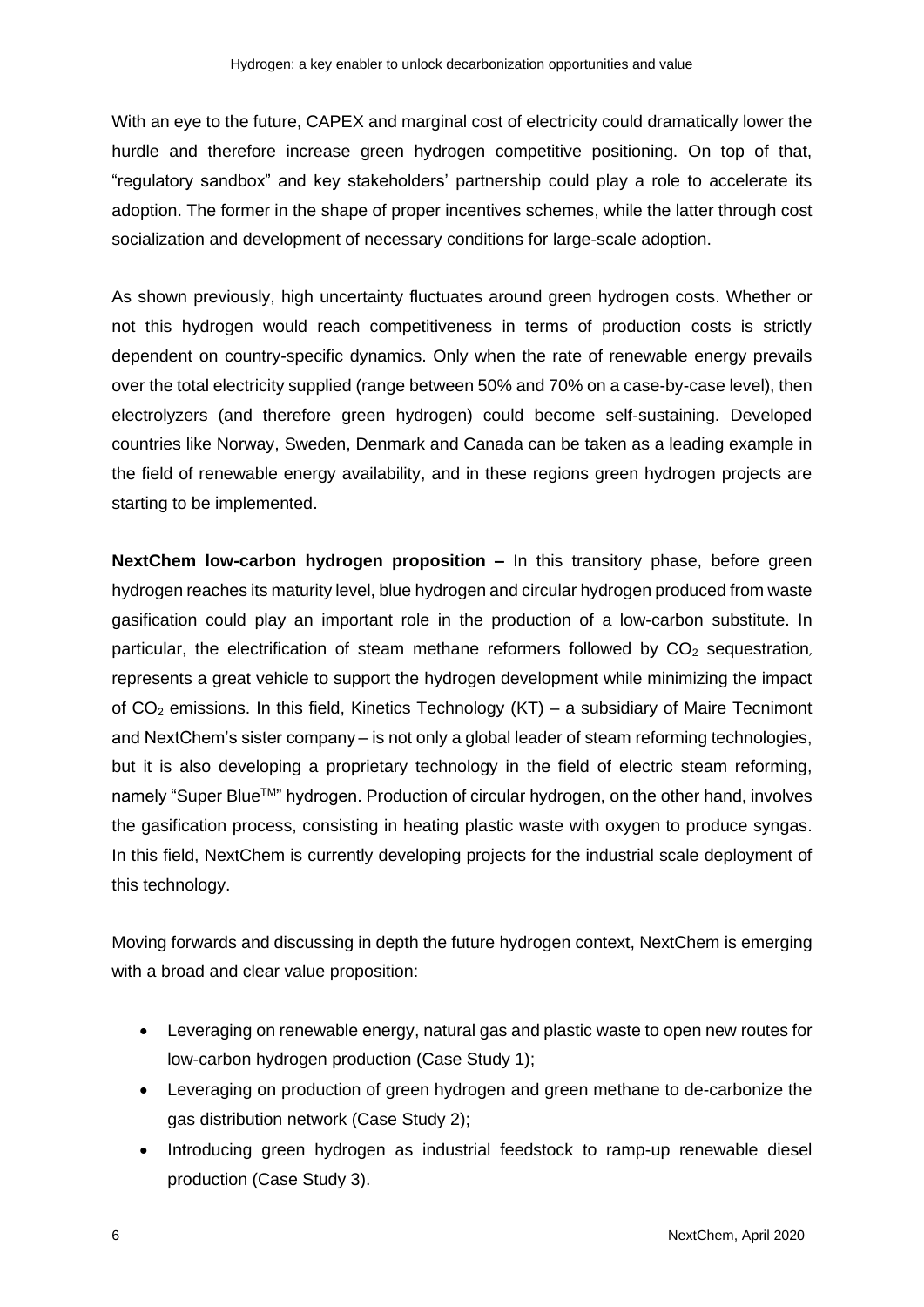With an eye to the future, CAPEX and marginal cost of electricity could dramatically lower the hurdle and therefore increase green hydrogen competitive positioning. On top of that, "regulatory sandbox" and key stakeholders' partnership could play a role to accelerate its adoption. The former in the shape of proper incentives schemes, while the latter through cost socialization and development of necessary conditions for large-scale adoption.

As shown previously, high uncertainty fluctuates around green hydrogen costs. Whether or not this hydrogen would reach competitiveness in terms of production costs is strictly dependent on country-specific dynamics. Only when the rate of renewable energy prevails over the total electricity supplied (range between 50% and 70% on a case-by-case level), then electrolyzers (and therefore green hydrogen) could become self-sustaining. Developed countries like Norway, Sweden, Denmark and Canada can be taken as a leading example in the field of renewable energy availability, and in these regions green hydrogen projects are starting to be implemented.

**NextChem low-carbon hydrogen proposition –** In this transitory phase, before green hydrogen reaches its maturity level, blue hydrogen and circular hydrogen produced from waste gasification could play an important role in the production of a low-carbon substitute. In particular, the electrification of steam methane reformers followed by  $CO<sub>2</sub>$  sequestration, represents a great vehicle to support the hydrogen development while minimizing the impact of  $CO<sub>2</sub>$  emissions. In this field, Kinetics Technology (KT) – a subsidiary of Maire Tecnimont and NextChem's sister company – is not only a global leader of steam reforming technologies, but it is also developing a proprietary technology in the field of electric steam reforming, namely "Super BlueTM" hydrogen. Production of circular hydrogen, on the other hand, involves the gasification process, consisting in heating plastic waste with oxygen to produce syngas. In this field, NextChem is currently developing projects for the industrial scale deployment of this technology.

Moving forwards and discussing in depth the future hydrogen context, NextChem is emerging with a broad and clear value proposition:

- Leveraging on renewable energy, natural gas and plastic waste to open new routes for low-carbon hydrogen production (Case Study 1);
- Leveraging on production of green hydrogen and green methane to de-carbonize the gas distribution network (Case Study 2);
- Introducing green hydrogen as industrial feedstock to ramp-up renewable diesel production (Case Study 3).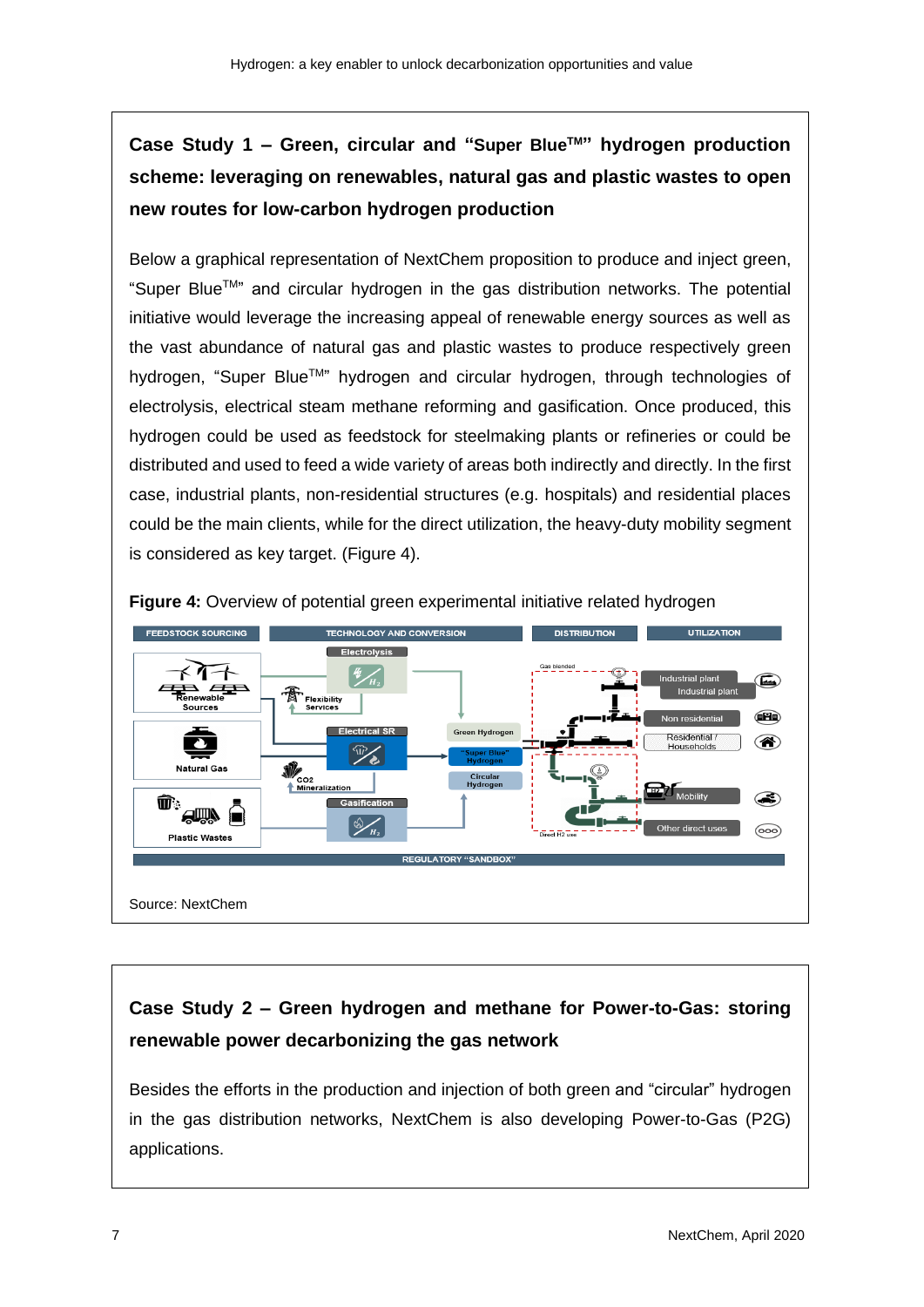# **Case Study 1 – Green, circular and "Super BlueTM" hydrogen production scheme: leveraging on renewables, natural gas and plastic wastes to open new routes for low-carbon hydrogen production**

Below a graphical representation of NextChem proposition to produce and inject green, "Super BlueTM" and circular hydrogen in the gas distribution networks. The potential initiative would leverage the increasing appeal of renewable energy sources as well as the vast abundance of natural gas and plastic wastes to produce respectively green hydrogen, "Super Blue<sup>TM</sup>" hydrogen and circular hydrogen, through technologies of electrolysis, electrical steam methane reforming and gasification. Once produced, this hydrogen could be used as feedstock for steelmaking plants or refineries or could be distributed and used to feed a wide variety of areas both indirectly and directly. In the first case, industrial plants, non-residential structures (e.g. hospitals) and residential places could be the main clients, while for the direct utilization, the heavy-duty mobility segment is considered as key target. (Figure 4).



**Figure 4:** Overview of potential green experimental initiative related hydrogen

## **Case Study 2 – Green hydrogen and methane for Power-to-Gas: storing renewable power decarbonizing the gas network**

Besides the efforts in the production and injection of both green and "circular" hydrogen in the gas distribution networks, NextChem is also developing Power-to-Gas (P2G) applications.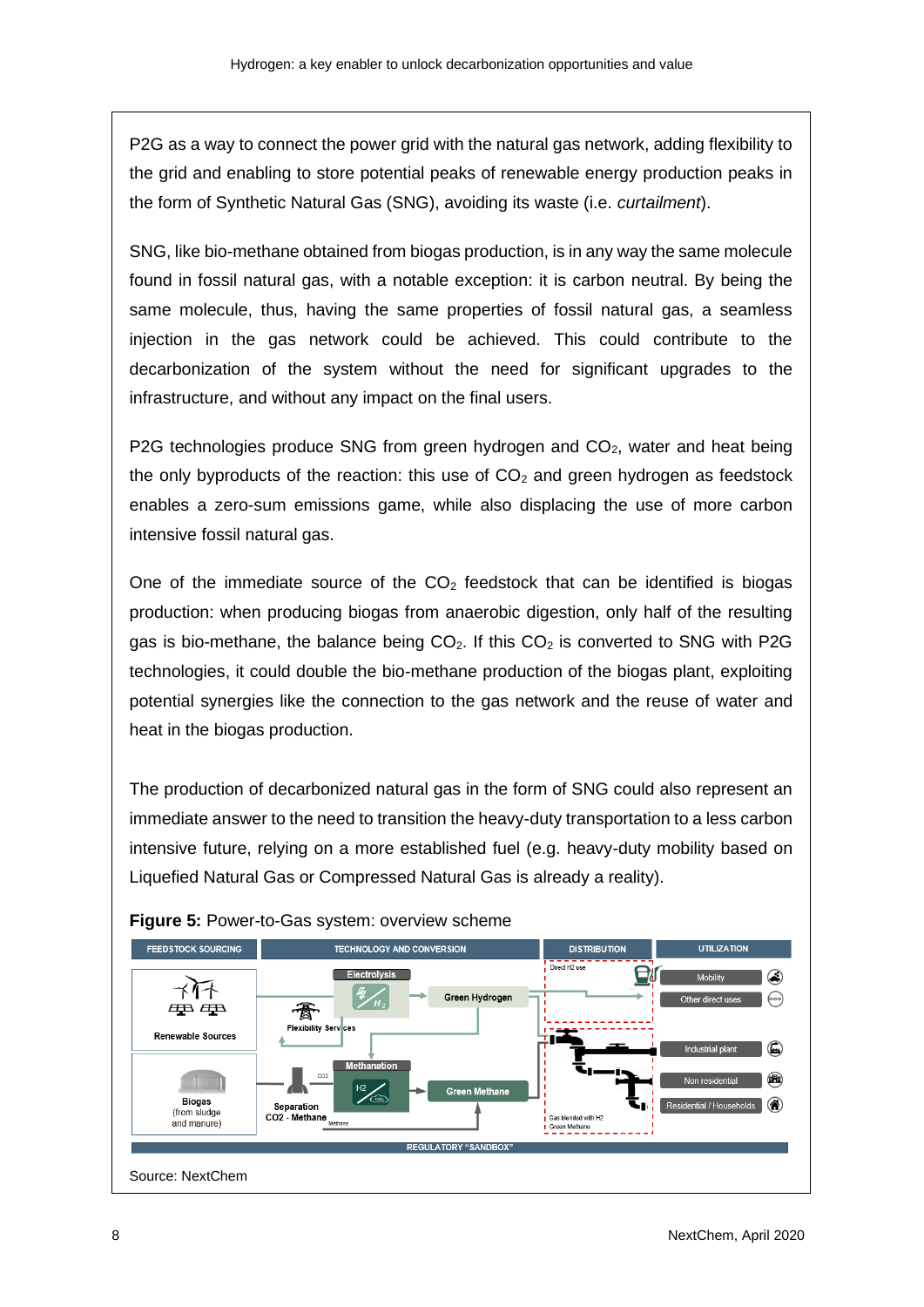P2G as a way to connect the power grid with the natural gas network, adding flexibility to the grid and enabling to store potential peaks of renewable energy production peaks in the form of Synthetic Natural Gas (SNG), avoiding its waste (i.e. *curtailment*).

SNG, like bio-methane obtained from biogas production, is in any way the same molecule found in fossil natural gas, with a notable exception: it is carbon neutral. By being the same molecule, thus, having the same properties of fossil natural gas, a seamless injection in the gas network could be achieved. This could contribute to the decarbonization of the system without the need for significant upgrades to the infrastructure, and without any impact on the final users.

P2G technologies produce SNG from green hydrogen and  $CO<sub>2</sub>$ , water and heat being the only byproducts of the reaction: this use of  $CO<sub>2</sub>$  and green hydrogen as feedstock enables a zero-sum emissions game, while also displacing the use of more carbon intensive fossil natural gas.

One of the immediate source of the  $CO<sub>2</sub>$  feedstock that can be identified is biogas production: when producing biogas from anaerobic digestion, only half of the resulting gas is bio-methane, the balance being  $CO<sub>2</sub>$ . If this  $CO<sub>2</sub>$  is converted to SNG with P2G technologies, it could double the bio-methane production of the biogas plant, exploiting potential synergies like the connection to the gas network and the reuse of water and heat in the biogas production.

The production of decarbonized natural gas in the form of SNG could also represent an immediate answer to the need to transition the heavy-duty transportation to a less carbon intensive future, relying on a more established fuel (e.g. heavy-duty mobility based on Liquefied Natural Gas or Compressed Natural Gas is already a reality).



#### **Figure 5:** Power-to-Gas system: overview scheme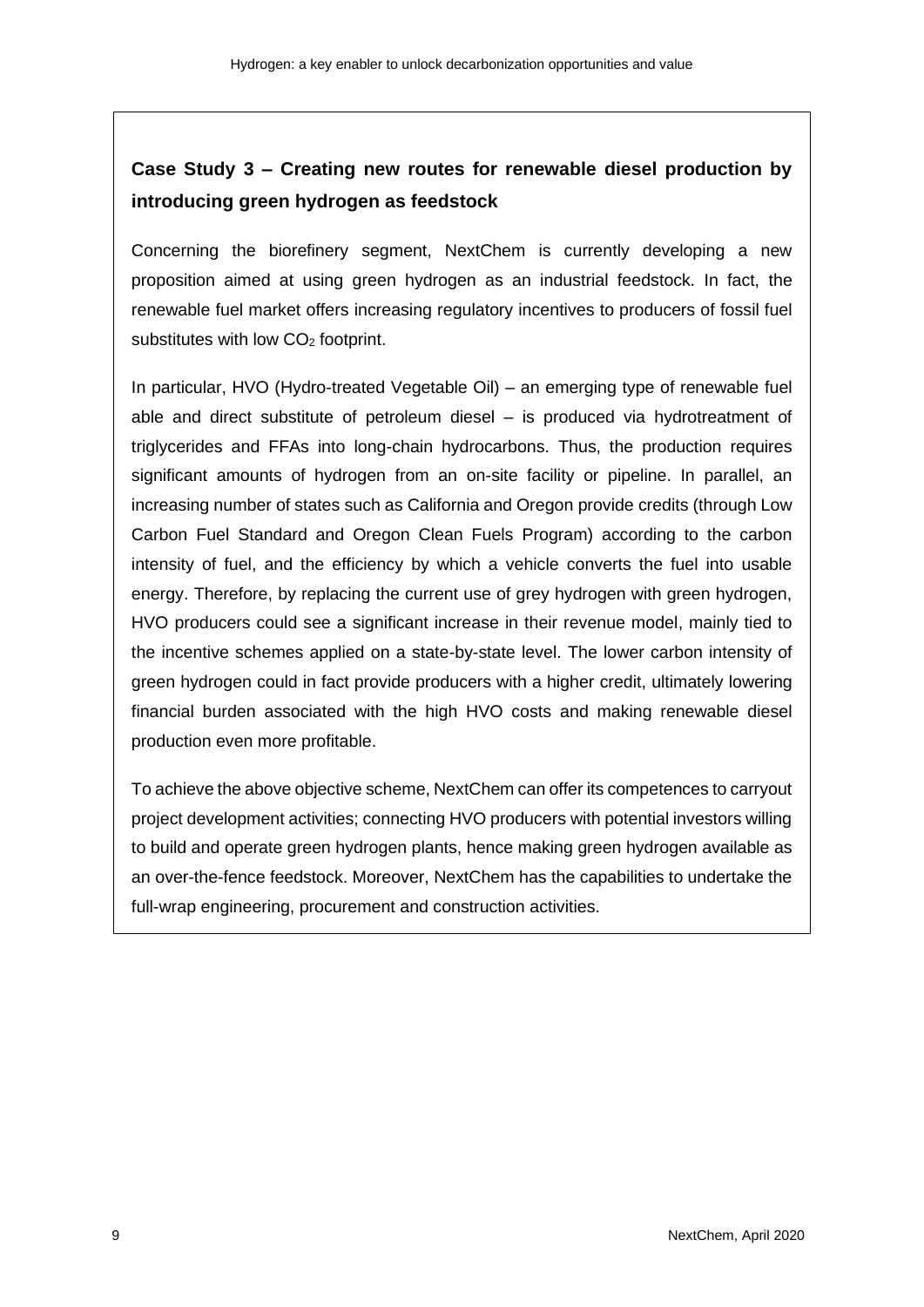## **Case Study 3 – Creating new routes for renewable diesel production by introducing green hydrogen as feedstock**

Concerning the biorefinery segment, NextChem is currently developing a new proposition aimed at using green hydrogen as an industrial feedstock. In fact, the renewable fuel market offers increasing regulatory incentives to producers of fossil fuel substitutes with low  $CO<sub>2</sub>$  footprint.

In particular, HVO (Hydro-treated Vegetable Oil) – an emerging type of renewable fuel able and direct substitute of petroleum diesel – is produced via hydrotreatment of triglycerides and FFAs into long-chain hydrocarbons. Thus, the production requires significant amounts of hydrogen from an on-site facility or pipeline. In parallel, an increasing number of states such as California and Oregon provide credits (through Low Carbon Fuel Standard and Oregon Clean Fuels Program) according to the carbon intensity of fuel, and the efficiency by which a vehicle converts the fuel into usable energy. Therefore, by replacing the current use of grey hydrogen with green hydrogen, HVO producers could see a significant increase in their revenue model, mainly tied to the incentive schemes applied on a state-by-state level. The lower carbon intensity of green hydrogen could in fact provide producers with a higher credit, ultimately lowering financial burden associated with the high HVO costs and making renewable diesel production even more profitable.

To achieve the above objective scheme, NextChem can offer its competences to carryout project development activities; connecting HVO producers with potential investors willing to build and operate green hydrogen plants, hence making green hydrogen available as an over-the-fence feedstock. Moreover, NextChem has the capabilities to undertake the full-wrap engineering, procurement and construction activities.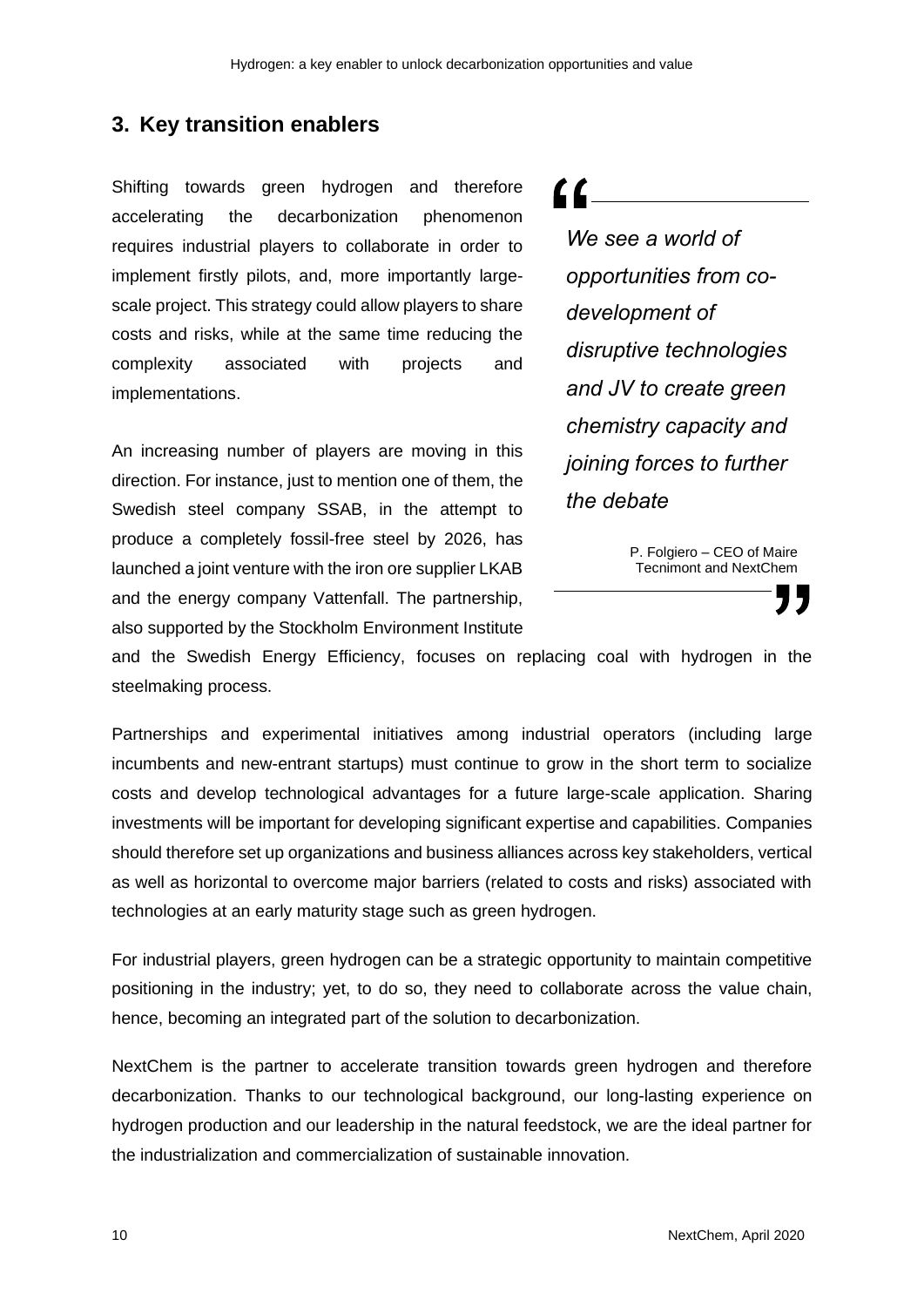#### **3. Key transition enablers**

Shifting towards green hydrogen and therefore accelerating the decarbonization phenomenon requires industrial players to collaborate in order to implement firstly pilots, and, more importantly largescale project. This strategy could allow players to share costs and risks, while at the same time reducing the complexity associated with projects and implementations.

An increasing number of players are moving in this direction. For instance, just to mention one of them, the Swedish steel company SSAB, in the attempt to produce a completely fossil-free steel by 2026, has launched a joint venture with the iron ore supplier LKAB and the energy company Vattenfall. The partnership, also supported by the Stockholm Environment Institute  $\alpha$  . The set of  $\alpha$ 

*We see a world of opportunities from codevelopment of disruptive technologies and JV to create green chemistry capacity and joining forces to further the debate*

> P. Folgiero – CEO of Maire Tecnimont and NextChem

and the Swedish Energy Efficiency, focuses on replacing coal with hydrogen in the steelmaking process.

Partnerships and experimental initiatives among industrial operators (including large incumbents and new-entrant startups) must continue to grow in the short term to socialize costs and develop technological advantages for a future large-scale application. Sharing investments will be important for developing significant expertise and capabilities. Companies should therefore set up organizations and business alliances across key stakeholders, vertical as well as horizontal to overcome major barriers (related to costs and risks) associated with technologies at an early maturity stage such as green hydrogen.

For industrial players, green hydrogen can be a strategic opportunity to maintain competitive positioning in the industry; yet, to do so, they need to collaborate across the value chain, hence, becoming an integrated part of the solution to decarbonization.

NextChem is the partner to accelerate transition towards green hydrogen and therefore decarbonization. Thanks to our technological background, our long-lasting experience on hydrogen production and our leadership in the natural feedstock, we are the ideal partner for the industrialization and commercialization of sustainable innovation.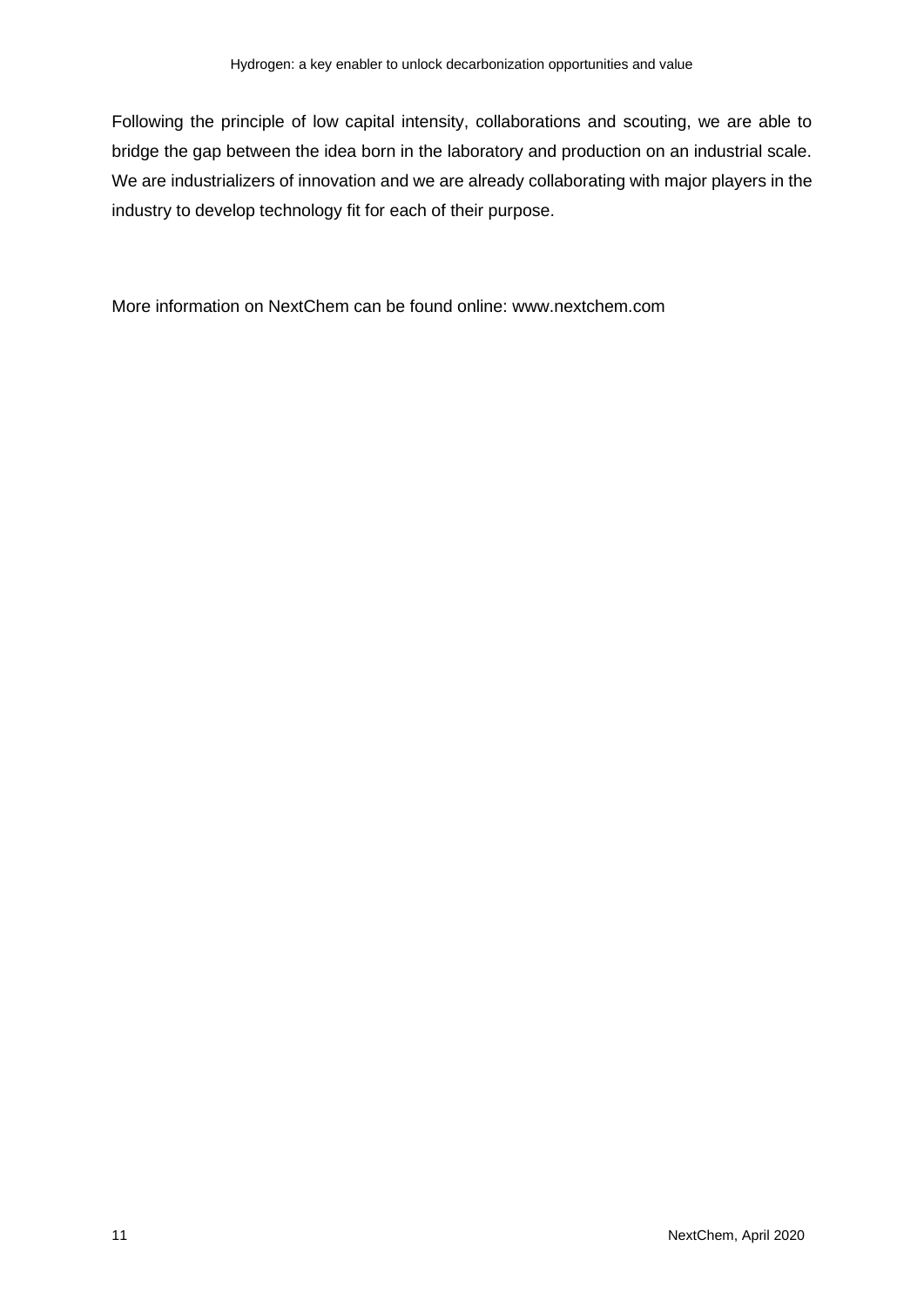Following the principle of low capital intensity, collaborations and scouting, we are able to bridge the gap between the idea born in the laboratory and production on an industrial scale. We are industrializers of innovation and we are already collaborating with major players in the industry to develop technology fit for each of their purpose.

More information on NextChem can be found online: [www.nextchem.com](http://www.nextchem.com/)